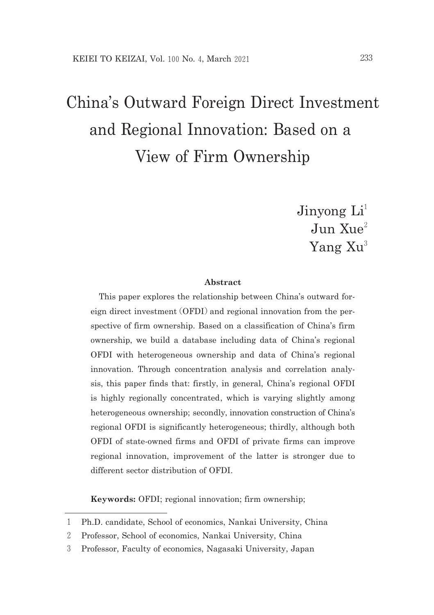# China's Outward Foreign Direct Investment and Regional Innovation: Based on a View of Firm Ownership

Jinyong  $Li<sup>1</sup>$  $J$ un  $X_{11}e^2$ Yang Xu<sup>3</sup>

### **Abstract**

This paper explores the relationship between China's outward foreign direct investment (OFDI) and regional innovation from the perspective of firm ownership. Based on a classification of China's firm ownership, we build a database including data of China's regional OFDI with heterogeneous ownership and data of China's regional innovation. Through concentration analysis and correlation analysis, this paper finds that: firstly, in general, China's regional OFDI is highly regionally concentrated, which is varying slightly among heterogeneous ownership; secondly, innovation construction of China's regional OFDI is significantly heterogeneous; thirdly, although both OFDI of stateowned firms and OFDI of private firms can improve regional innovation, improvement of the latter is stronger due to different sector distribution of OFDI.

**Keywords:** OFDI; regional innovation; firm ownership;

<sup>1</sup> Ph.D. candidate, School of economics, Nankai University, China

<sup>2</sup> Professor, School of economics, Nankai University, China

<sup>3</sup> Professor, Faculty of economics, Nagasaki University, Japan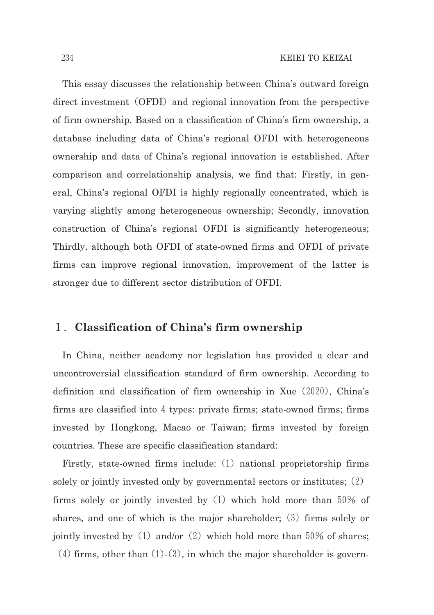This essay discusses the relationship between China's outward foreign direct investment (OFDI) and regional innovation from the perspective of firm ownership. Based on a classification of China's firm ownership, a database including data of China's regional OFDI with heterogeneous ownership and data of China's regional innovation is established. After comparison and correlationship analysis, we find that: Firstly, in general, China's regional OFDI is highly regionally concentrated, which is varying slightly among heterogeneous ownership; Secondly, innovation construction of China's regional OFDI is significantly heterogeneous; Thirdly, although both OFDI of state-owned firms and OFDI of private firms can improve regional innovation, improvement of the latter is stronger due to different sector distribution of OFDI.

# 1.**Classification of China's firm ownership**

In China, neither academy nor legislation has provided a clear and uncontroversial classification standard of firm ownership. According to definition and classification of firm ownership in Xue (2020), China's firms are classified into  $4$  types: private firms; state-owned firms; firms invested by Hongkong, Macao or Taiwan; firms invested by foreign countries. These are specific classification standard:

Firstly, state-owned firms include:  $(1)$  national proprietorship firms solely or jointly invested only by governmental sectors or institutes;(2) firms solely or jointly invested by  $(1)$  which hold more than 50% of shares, and one of which is the major shareholder;  $(3)$  firms solely or jointly invested by  $(1)$  and/or  $(2)$  which hold more than 50% of shares; (4) firms, other than  $(1)-(3)$ , in which the major shareholder is govern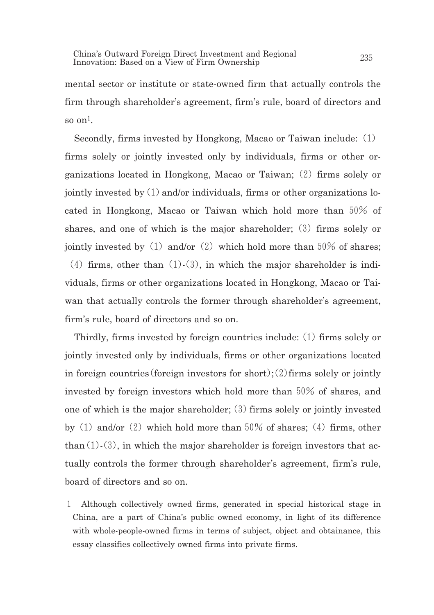mental sector or institute or state-owned firm that actually controls the firm through shareholder's agreement, firm's rule, board of directors and so on $1$ .

Secondly, firms invested by Hongkong, Macao or Taiwan include:(1) firms solely or jointly invested only by individuals, firms or other organizations located in Hongkong, Macao or Taiwan;  $(2)$  firms solely or jointly invested by  $(1)$  and/or individuals, firms or other organizations located in Hongkong, Macao or Taiwan which hold more than 50% of shares, and one of which is the major shareholder;  $(3)$  firms solely or jointly invested by  $(1)$  and/or  $(2)$  which hold more than 50% of shares; (4) firms, other than  $(1)-(3)$ , in which the major shareholder is individuals, firms or other organizations located in Hongkong, Macao or Taiwan that actually controls the former through shareholder's agreement, firm's rule, board of directors and so on.

Thirdly, firms invested by foreign countries include:  $(1)$  firms solely or jointly invested only by individuals, firms or other organizations located in foreign countries (foreign investors for short):  $(2)$  firms solely or jointly invested by foreign investors which hold more than 50% of shares, and one of which is the major shareholder;  $(3)$  firms solely or jointly invested by  $(1)$  and/or  $(2)$  which hold more than 50% of shares;  $(4)$  firms, other than  $(1)-(3)$ , in which the major shareholder is foreign investors that actually controls the former through shareholder's agreement, firm's rule, board of directors and so on.

<sup>1</sup> Although collectively owned firms, generated in special historical stage in China, are a part of China's public owned economy, in light of its difference with whole-people-owned firms in terms of subject, object and obtainance, this essay classifies collectively owned firms into private firms.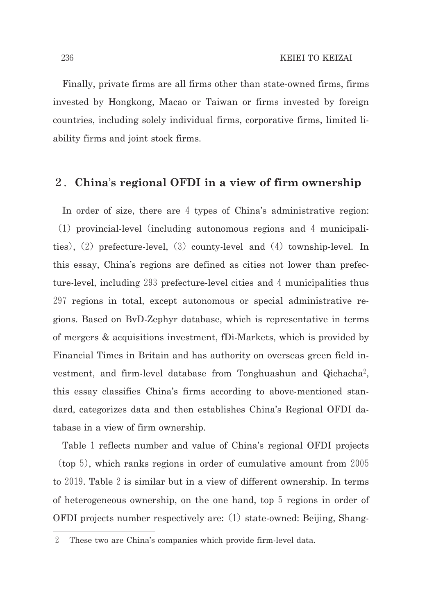Finally, private firms are all firms other than state-owned firms, firms invested by Hongkong, Macao or Taiwan or firms invested by foreign countries, including solely individual firms, corporative firms, limited liability firms and joint stock firms.

# 2.**China**'**s regional OFDI in a view of firm ownership**

In order of size, there are 4 types of China's administrative region:  $(1)$  provincial-level (including autonomous regions and 4 municipalities),  $(2)$  prefecture-level,  $(3)$  county-level and  $(4)$  township-level. In this essay, China's regions are defined as cities not lower than prefecture-level, including 293 prefecture-level cities and 4 municipalities thus 297 regions in total, except autonomous or special administrative regions. Based on ByD-Zephyr database, which is representative in terms of mergers & acquisitions investment, fDi-Markets, which is provided by Financial Times in Britain and has authority on overseas green field investment, and firmlevel database from Tonghuashun and Qichacha2, this essay classifies China's firms according to above-mentioned standard, categorizes data and then establishes China's Regional OFDI database in a view of firm ownership.

Table 1 reflects number and value of China's regional OFDI projects  $(\text{top } 5)$ , which ranks regions in order of cumulative amount from 2005 to 2019. Table 2 is similar but in a view of different ownership. In terms of heterogeneous ownership, on the one hand, top 5 regions in order of OFDI projects number respectively are:  $(1)$  state-owned: Beijing, Shang-

<sup>2</sup> These two are China's companies which provide firm-level data.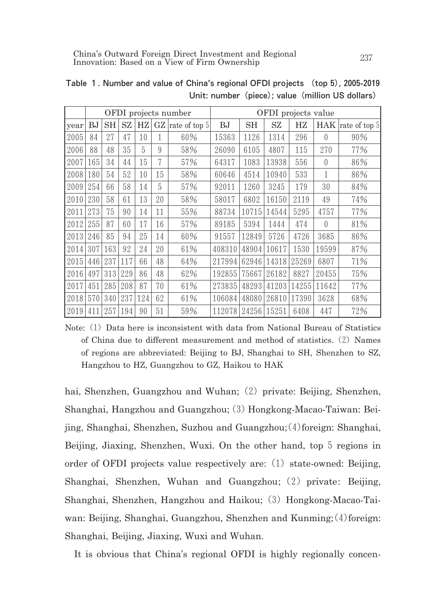|      | OFDI projects number |     |     |     |    | OFDI projects value |        |       |       |             |                  |               |
|------|----------------------|-----|-----|-----|----|---------------------|--------|-------|-------|-------------|------------------|---------------|
| year | ВJ                   | SH  | SZ  | HZ  | GZ | rate of top 5       | BJ     | SН    | SZ    | $_{\rm HZ}$ | <b>HAK</b>       | rate of top 5 |
| 2005 | 84                   | 27  | 47  | 10  | 1  | 60%                 | 15363  | 1126  | 1314  | 296         | $\left($         | 90%           |
| 2006 | 88                   | 48  | 35  | 5   | 9  | 58%                 | 26090  | 6105  | 4807  | 115         | 270              | 77%           |
| 2007 | 165                  | 34  | 44  | 15  | 7  | 57%                 | 64317  | 1083  | 13938 | 556         | $\left($         | 86%           |
| 2008 | 180                  | 54  | 52  | 10  | 15 | 58%                 | 60646  | 4514  | 10940 | 533         | 1                | 86%           |
| 2009 | 254                  | 66  | 58  | 14  | 5  | 57%                 | 92011  | 1260  | 3245  | 179         | 30               | 84%           |
| 2010 | 230                  | 58  | 61  | 13  | 20 | 58%                 | 58017  | 6802  | 16150 | 2119        | 49               | 74%           |
| 2011 | 273                  | 75  | 90  | 14  | 11 | 55%                 | 88734  | 10715 | 14544 | 5295        | 4757             | 77%           |
| 2012 | 255                  | 87  | 60  | 17  | 16 | 57%                 | 89185  | 5394  | 1444  | 474         | $\left( \right)$ | 81%           |
| 2013 | 246                  | 85  | 94  | 25  | 14 | 60%                 | 91557  | 12849 | 5726  | 4726        | 3685             | 86%           |
| 2014 | 307                  | 163 | 92  | 24  | 20 | 61%                 | 408310 | 48904 | 10617 | 1530        | 19599            | 87%           |
| 2015 | 446                  | 237 | 117 | 66  | 48 | 64%                 | 217994 | 62946 | 14318 | 25269       | 6807             | 71%           |
| 2016 | 497                  | 313 | 229 | 86  | 48 | 62%                 | 192855 | 75667 | 26182 | 8827        | 20455            | 75%           |
| 2017 | 451                  | 285 | 208 | 87  | 70 | 61%                 | 273835 | 48293 | 41203 | 14255       | 11642            | 77%           |
| 2018 | 570                  | 340 | 237 | 124 | 62 | 61%                 | 106084 | 48080 | 26810 | 17390       | 3628             | 68%           |
| 2019 | 411                  | 257 | 194 | 90  | 51 | 59%                 | 112078 | 24256 | 15251 | 6408        | 447              | 72%           |

Table 1. Number and value of China's regional OFDI projects (top5),2005-2019 Unit: number (piece); value (million US dollars)

Note: (1) Data here is inconsistent with data from National Bureau of Statistics of China due to different measurement and method of statistics.  $(2)$  Names of regions are abbreviated: Beijing to BJ, Shanghai to SH, Shenzhen to SZ, Hangzhou to HZ, Guangzhou to GZ, Haikou to HAK

hai, Shenzhen, Guangzhou and Wuhan; (2) private: Beijing, Shenzhen, Shanghai, Hangzhou and Guangzhou; (3) Hongkong-Macao-Taiwan: Beijing, Shanghai, Shenzhen, Suzhou and Guangzhou;  $(4)$  foreign: Shanghai, Beijing, Jiaxing, Shenzhen, Wuxi. On the other hand, top 5 regions in order of OFDI projects value respectively are:  $(1)$  state-owned: Beijing, Shanghai, Shenzhen, Wuhan and Guangzhou; (2) private: Beijing, Shanghai, Shenzhen, Hangzhou and Haikou; (3) Hongkong-Macao-Taiwan: Beijing, Shanghai, Guangzhou, Shenzhen and Kunming;  $(4)$  foreign: Shanghai, Beijing, Jiaxing, Wuxi and Wuhan.

It is obvious that China's regional OFDI is highly regionally concen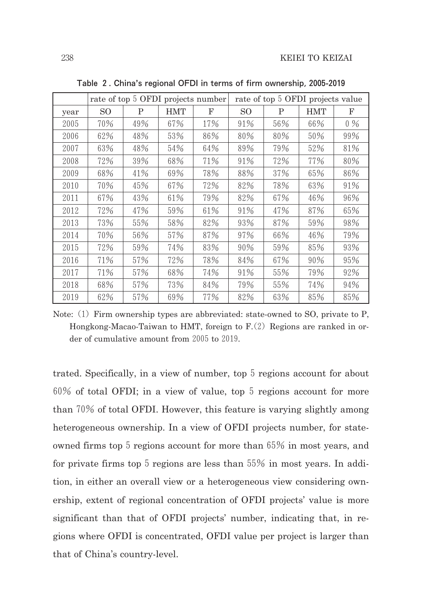|      |     |     |            | rate of top 5 OFDI projects number | rate of top 5 OFDI projects value |     |            |       |  |
|------|-----|-----|------------|------------------------------------|-----------------------------------|-----|------------|-------|--|
| year | SO. | P   | <b>HMT</b> | F                                  | SO.                               | P   | <b>HMT</b> | F     |  |
| 2005 | 70% | 49% | 67%        | 17%                                | 91%                               | 56% | 66%        | $0\%$ |  |
| 2006 | 62% | 48% | 53%        | 86%                                | 80%                               | 80% | 50%        | 99%   |  |
| 2007 | 63% | 48% | 54%        | 64%                                | 89%                               | 79% | 52%        | 81%   |  |
| 2008 | 72% | 39% | 68%        | 71%                                | 91%                               | 72% | 77%        | 80%   |  |
| 2009 | 68% | 41% | 69%        | 78%                                | 88%                               | 37% | 65%        | 86%   |  |
| 2010 | 70% | 45% | 67%        | 72%                                | 82%                               | 78% | 63%        | 91%   |  |
| 2011 | 67% | 43% | 61%        | 79%                                | 82%                               | 67% | 46%        | 96%   |  |
| 2012 | 72% | 47% | 59%        | 61%                                | 91%                               | 47% | 87%        | 65%   |  |
| 2013 | 73% | 55% | 58%        | 82%                                | 93%                               | 87% | 59%        | 98%   |  |
| 2014 | 70% | 56% | 57%        | 87%                                | 97%                               | 66% | 46%        | 79%   |  |
| 2015 | 72% | 59% | 74%        | 83%                                | 90%                               | 59% | 85%        | 93%   |  |
| 2016 | 71% | 57% | 72%        | 78%                                | 84%                               | 67% | 90%        | 95%   |  |
| 2017 | 71% | 57% | 68%        | 74%                                | 91%                               | 55% | 79%        | 92%   |  |
| 2018 | 68% | 57% | 73%        | 84%                                | 79%                               | 55% | 74%        | 94%   |  |
| 2019 | 62% | 57% | 69%        | 77%                                | 82%                               | 63% | 85%        | 85%   |  |

Table 2. China's regional OFDI in terms of firm ownership,2005-2019

Note:  $(1)$  Firm ownership types are abbreviated: state-owned to SO, private to P, Hongkong-Macao-Taiwan to HMT, foreign to  $F(2)$  Regions are ranked in order of cumulative amount from 2005 to 2019.

trated. Specifically, in a view of number, top 5 regions account for about 60% of total OFDI; in a view of value, top 5 regions account for more than70% of total OFDI. However, this feature is varying slightly among heterogeneous ownership. In a view of OFDI projects number, for stateowned firms top  $5$  regions account for more than  $65\%$  in most years, and for private firms top  $5$  regions are less than  $55\%$  in most years. In addition, in either an overall view or a heterogeneous view considering ownership, extent of regional concentration of OFDI projects' value is more significant than that of OFDI projects' number, indicating that, in regions where OFDI is concentrated, OFDI value per project is larger than that of China's country-level.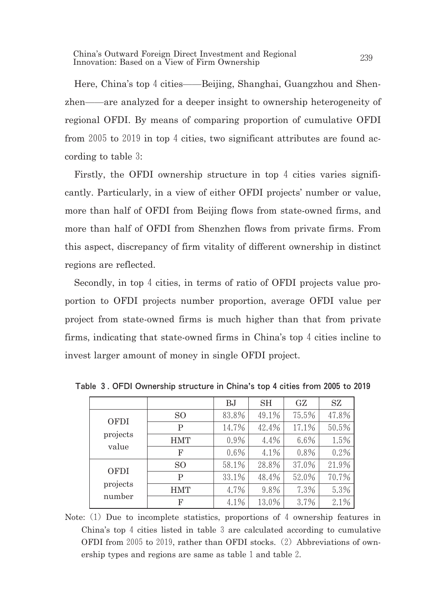China's Outward Foreign Direct Investment and Regional China's Outward Foreign Direct Investment and Regional 239<br>Innovation: Based on a View of Firm Ownership

Here, China's top 4 cities——Beijing, Shanghai, Guangzhou and Shenzhen—are analyzed for a deeper insight to ownership heterogeneity of regional OFDI. By means of comparing proportion of cumulative OFDI from 2005 to 2019 in top 4 cities, two significant attributes are found according to table 3:

Firstly, the OFDI ownership structure in top 4 cities varies significantly. Particularly, in a view of either OFDI projects' number or value, more than half of OFDI from Beijing flows from state-owned firms, and more than half of OFDI from Shenzhen flows from private firms. From this aspect, discrepancy of firm vitality of different ownership in distinct regions are reflected.

Secondly, in top 4 cities, in terms of ratio of OFDI projects value proportion to OFDI projects number proportion, average OFDI value per project from state-owned firms is much higher than that from private firms, indicating that state-owned firms in China's top  $4$  cities incline to invest larger amount of money in single OFDI project.

|                   |            | BJ      | <b>SH</b> | GZ    | SZ    |
|-------------------|------------|---------|-----------|-------|-------|
| <b>OFDI</b>       | SO.        | 83.8%   | 49.1%     | 75.5% | 47.8% |
|                   | P          | 14.7%   | 42.4%     | 17.1% | 50.5% |
| projects<br>value | <b>HMT</b> | 0.9%    | 4.4%      | 6.6%  | 1.5%  |
|                   | F          | $0.6\%$ | 4.1%      | 0.8%  | 0.2%  |
| <b>OFDI</b>       | SO.        | 58.1%   | 28.8%     | 37.0% | 21.9% |
|                   | Ρ          | 33.1%   | 48.4%     | 52.0% | 70.7% |
| projects          | <b>HMT</b> | 4.7%    | 9.8%      | 7.3%  | 5.3%  |
| number            | F          | 4.1%    | 13.0%     | 3.7%  | 2.1%  |

Table 3. OFDI Ownership structure in China's top 4 cities from 2005 to 2019

Note: (1) Due to incomplete statistics, proportions of 4 ownership features in China's top 4 cities listed in table 3 are calculated according to cumulative OFDI from 2005 to 2019, rather than OFDI stocks. (2) Abbreviations of ownership types and regions are same as table 1 and table 2.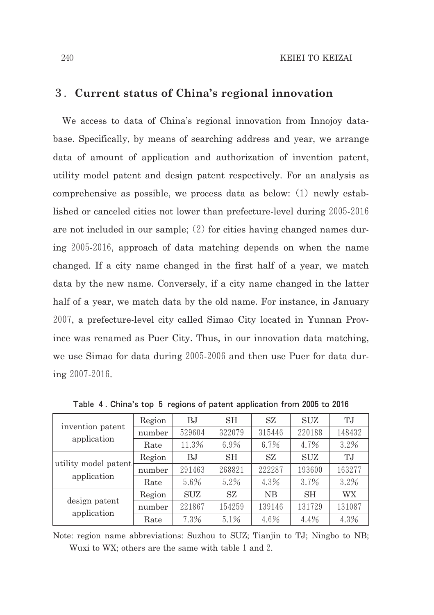## 3.**Current status of China's regional innovation**

We access to data of China's regional innovation from Innoiov database. Specifically, by means of searching address and year, we arrange data of amount of application and authorization of invention patent, utility model patent and design patent respectively. For an analysis as comprehensive as possible, we process data as below:  $(1)$  newly established or canceled cities not lower than prefecture-level during 2005-2016 are not included in our sample;  $(2)$  for cities having changed names during 20052016, approach of data matching depends on when the name changed. If a city name changed in the first half of a year, we match data by the new name. Conversely, if a city name changed in the latter half of a year, we match data by the old name. For instance, in January 2007, a prefecture-level city called Simao City located in Yunnan Province was renamed as Puer City. Thus, in our innovation data matching, we use Simao for data during 2005-2006 and then use Puer for data during 2007-2016.

|                      | Region | BJ         | SH     | SZ        | SUZ       | T.J       |
|----------------------|--------|------------|--------|-----------|-----------|-----------|
| invention patent     | number | 529604     | 322079 | 315446    | 220188    | 148432    |
| application          | Rate   | 11.3%      | 6.9%   | 6.7%      | 4.7%      | 3.2%      |
|                      | Region | BJ.        | SH     | SZ.       | SUZ       | T.J       |
| utility model patent | number | 291463     | 268821 | 222287    | 193600    | 163277    |
| application          | Rate   | 5.6%       | 5.2%   | 4.3%      | 3.7%      | 3.2%      |
|                      | Region | <b>SUZ</b> | SZ.    | <b>NB</b> | <b>SH</b> | <b>WX</b> |
| design patent        | number | 221867     | 154259 | 139146    | 131729    | 131087    |
| application          | Rate   | 7.3%       | 5.1%   | 4.6%      | 4.4%      | 4.3%      |

Table 4. China's top 5 regions of patent application from 2005 to 2016

Note: region name abbreviations: Suzhou to SUZ; Tianjin to TJ; Ningbo to NB; Wuxi to WX; others are the same with table 1 and 2.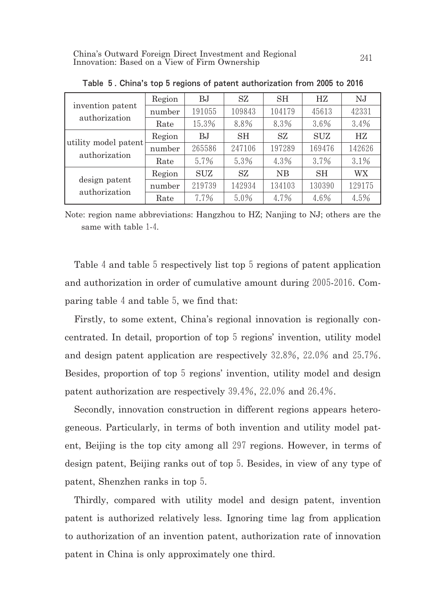|                      | Region | BJ         | SZ     | SH     | HZ.        | N.J    |
|----------------------|--------|------------|--------|--------|------------|--------|
| invention patent     | number | 191055     | 109843 | 104179 | 45613      | 42331  |
| authorization        | Rate   | 15.3%      | 8.8%   | 8.3%   | 3.6%       | 3.4%   |
|                      | Region | BJ         | SН     | SZ.    | <b>SUZ</b> | HZ.    |
| utility model patent | number | 265586     | 247106 | 197289 | 169476     | 142626 |
| authorization        | Rate   | 5.7%       | 5.3%   | 4.3%   | 3.7%       | 3.1%   |
|                      | Region | <b>SUZ</b> | SZ     | NB     | <b>SH</b>  | WX     |
| design patent        | number | 219739     | 142934 | 134103 | 130390     | 129175 |
| authorization        | Rate   | 7.7%       | 5.0%   | 4.7%   | 4.6%       | 4.5%   |

Table 5. China's top 5 regions of patent authorization from 2005 to 2016

Note: region name abbreviations: Hangzhou to HZ; Nanjing to NJ; others are the same with table 1-4.

Table 4 and table 5 respectively list top 5 regions of patent application and authorization in order of cumulative amount during 2005-2016. Comparing table  $4$  and table  $5$ , we find that:

Firstly, to some extent, China's regional innovation is regionally concentrated. In detail, proportion of top 5 regions' invention, utility model and design patent application are respectively 32.8%, 22.0% and 25.7%. Besides, proportion of top 5 regions' invention, utility model and design patent authorization are respectively  $39.4\%$ ,  $22.0\%$  and  $26.4\%$ .

Secondly, innovation construction in different regions appears heterogeneous. Particularly, in terms of both invention and utility model patent. Beijing is the top city among all 297 regions. However, in terms of design patent, Beijing ranks out of top5. Besides, in view of any type of patent, Shenzhen ranks in top 5.

Thirdly, compared with utility model and design patent, invention patent is authorized relatively less. Ignoring time lag from application to authorization of an invention patent, authorization rate of innovation patent in China is only approximately one third.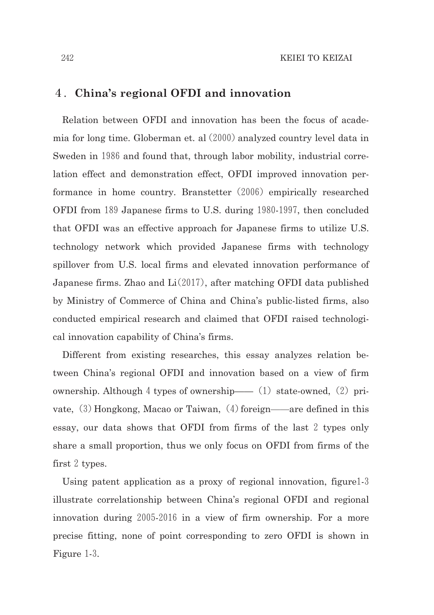# 4.**China's regional OFDI and innovation**

Relation between OFDI and innovation has been the focus of academia for long time. Globerman et. al  $(2000)$  analyzed country level data in Sweden in 1986 and found that, through labor mobility, industrial correlation effect and demonstration effect, OFDI improved innovation performance in home country. Branstetter (2006) empirically researched OFDI from 189 Japanese firms to U.S. during 1980-1997, then concluded that OFDI was an effective approach for Japanese firms to utilize U.S. technology network which provided Japanese firms with technology spillover from U.S. local firms and elevated innovation performance of Japanese firms. Zhao and  $Li(2017)$ , after matching OFDI data published by Ministry of Commerce of China and China's public-listed firms, also conducted empirical research and claimed that OFDI raised technological innovation capability of China's firms.

Different from existing researches, this essay analyzes relation between China's regional OFDI and innovation based on a view of firm ownership. Although 4 types of ownership— (1) state-owned, (2) private,  $(3)$  Hongkong, Macao or Taiwan,  $(4)$  foreign—are defined in this essay, our data shows that OFDI from firms of the last 2 types only share a small proportion, thus we only focus on OFDI from firms of the first  $2$  types.

Using patent application as a proxy of regional innovation, figure 1-3 illustrate correlationship between China's regional OFDI and regional innovation during 2005-2016 in a view of firm ownership. For a more precise fitting, none of point corresponding to zero OFDI is shown in Figure 1-3.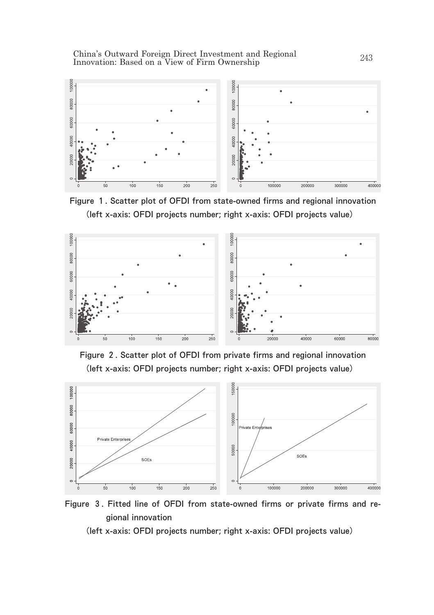China's Outward Foreign Direct Investment and Regional Linna's Outward Foreign Direct Investment and Regional 243<br>Innovation: Based on a View of Firm Ownership



Figure 1. Scatter plot of OFDI from state-owned firms and regional innovation (left x-axis: OFDI projects number; right x-axis: OFDI projects value)







Figure 3. Fitted line of OFDI from state-owned firms or private firms and regional innovation

(left x-axis: OFDI projects number; right x-axis: OFDI projects value)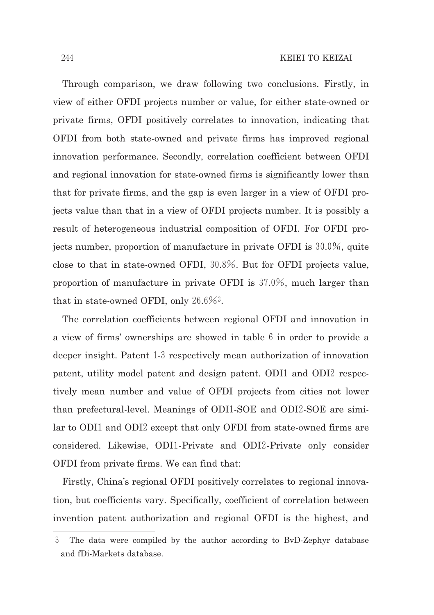Through comparison, we draw following two conclusions. Firstly, in view of either OFDI projects number or value, for either stateowned or private firms, OFDI positively correlates to innovation, indicating that OFDI from both stateowned and private firms has improved regional innovation performance. Secondly, correlation coefficient between OFDI and regional innovation for state-owned firms is significantly lower than that for private firms, and the gap is even larger in a view of OFDI projects value than that in a view of OFDI projects number. It is possibly a result of heterogeneous industrial composition of OFDI. For OFDI projects number, proportion of manufacture in private OFDI is  $30.0\%$ , quite close to that in state-owned OFDI, 30.8%. But for OFDI projects value, proportion of manufacture in private OFDI is 37.0%, much larger than that in state-owned OFDI, only  $26.6\%$ <sup>3</sup>.

The correlation coefficients between regional OFDI and innovation in a view of firms' ownerships are showed in table  $6$  in order to provide a deeper insight. Patent 1-3 respectively mean authorization of innovation patent, utility model patent and design patent. ODI1 and ODI2 respectively mean number and value of OFDI projects from cities not lower than prefectural-level. Meanings of ODI1-SOE and ODI2-SOE are similar to ODI1 and ODI2 except that only OFDI from state-owned firms are considered. Likewise, ODI1-Private and ODI2-Private only consider OFDI from private firms. We can find that:

Firstly, China's regional OFDI positively correlates to regional innovation, but coefficients vary. Specifically, coefficient of correlation between invention patent authorization and regional OFDI is the highest, and

<sup>3</sup> The data were compiled by the author according to BvDZephyr database and fDiMarkets database.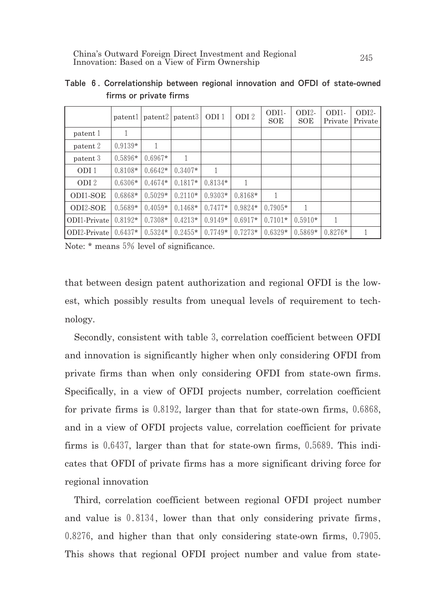|                  | patentl   |           | patent2   patent3 | ODI <sub>1</sub> | ODI <sub>2</sub> | ODI1-<br>SOE | ODI2-<br>SOE | ODI1-<br>Private | $ODI2-$<br>Private |
|------------------|-----------|-----------|-------------------|------------------|------------------|--------------|--------------|------------------|--------------------|
| patent 1         |           |           |                   |                  |                  |              |              |                  |                    |
| patent 2         | $0.9139*$ |           |                   |                  |                  |              |              |                  |                    |
| patent 3         | $0.5896*$ | $0.6967*$ |                   |                  |                  |              |              |                  |                    |
| ODI1             | $0.8108*$ | $0.6642*$ | $0.3407*$         | 1                |                  |              |              |                  |                    |
| ODI <sub>2</sub> | $0.6306*$ | $0.4674*$ | $0.1817*$         | $0.8134*$        | 1                |              |              |                  |                    |
| ODI1-SOE         | $0.6868*$ | $0.5029*$ | $0.2110*$         | $0.9303*$        | $0.8168*$        |              |              |                  |                    |
| ODI2-SOE         | $0.5689*$ | $0.4059*$ | $0.1468*$         | $0.7477*$        | $0.9824*$        | $0.7905*$    | 1            |                  |                    |
| ODI1-Private     | $0.8192*$ | $0.7308*$ | $0.4213*$         | $0.9149*$        | $0.6917*$        | $0.7101*$    | $0.5910*$    | 1                |                    |
| ODI2-Private     | $0.6437*$ | $0.5324*$ | $0.2455*$         | $0.7749*$        | $0.7273*$        | $0.6329*$    | $0.5869*$    | $0.8276*$        |                    |

Table 6. Correlationship between regional innovation and OFDI of state-owned firms or private firms

Note: \* means 5% level of significance.

that between design patent authorization and regional OFDI is the lowest, which possibly results from unequal levels of requirement to technology.

Secondly, consistent with table3, correlation coefficient between OFDI and innovation is significantly higher when only considering OFDI from private firms than when only considering OFDI from state-own firms. Specifically, in a view of OFDI projects number, correlation coefficient for private firms is  $0.8192$ , larger than that for state-own firms,  $0.6868$ , and in a view of OFDI projects value, correlation coefficient for private firms is  $0.6437$ , larger than that for state-own firms,  $0.5689$ . This indicates that OFDI of private firms has a more significant driving force for regional innovation

Third, correlation coefficient between regional OFDI project number and value is 0.8134, lower than that only considering private firms, 0.8276, and higher than that only considering state-own firms, 0.7905. This shows that regional OFDI project number and value from state